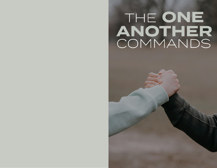## THE ONE ANOTHER